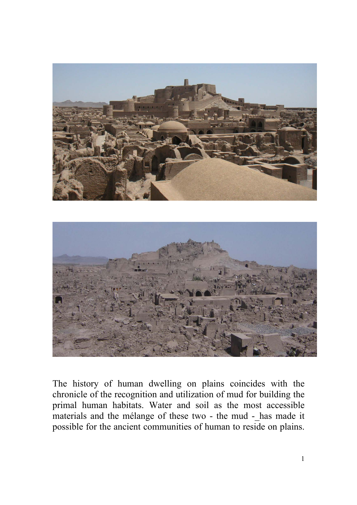



The history of human dwelling on plains coincides with the chronicle of the recognition and utilization of mud for building the primal human habitats. Water and soil as the most accessible materials and the mélange of these two - the mud - has made it possible for the ancient communities of human to reside on plains.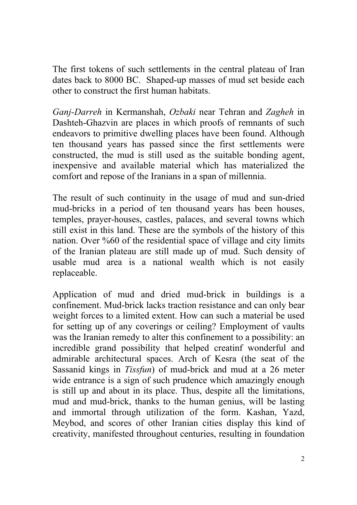The first tokens of such settlements in the central plateau of Iran dates back to 8000 BC. Shaped-up masses of mud set beside each other to construct the first human habitats.

*Ganj-Darreh* in Kermanshah, *Ozbaki* near Tehran and *Zagheh* in Dashteh-Ghazvin are places in which proofs of remnants of such endeavors to primitive dwelling places have been found. Although ten thousand years has passed since the first settlements were constructed, the mud is still used as the suitable bonding agent, inexpensive and available material which has materialized the comfort and repose of the Iranians in a span of millennia.

The result of such continuity in the usage of mud and sun-dried mud-bricks in a period of ten thousand years has been houses, temples, prayer-houses, castles, palaces, and several towns which still exist in this land. These are the symbols of the history of this nation. Over %60 of the residential space of village and city limits of the Iranian plateau are still made up of mud. Such density of usable mud area is a national wealth which is not easily replaceable.

Application of mud and dried mud-brick in buildings is a confinement. Mud-brick lacks traction resistance and can only bear weight forces to a limited extent. How can such a material be used for setting up of any coverings or ceiling? Employment of vaults was the Iranian remedy to alter this confinement to a possibility: an incredible grand possibility that helped creatinf wonderful and admirable architectural spaces. Arch of Kesra (the seat of the Sassanid kings in *Tissfun*) of mud-brick and mud at a 26 meter wide entrance is a sign of such prudence which amazingly enough is still up and about in its place. Thus, despite all the limitations, mud and mud-brick, thanks to the human genius, will be lasting and immortal through utilization of the form. Kashan, Yazd, Meybod, and scores of other Iranian cities display this kind of creativity, manifested throughout centuries, resulting in foundation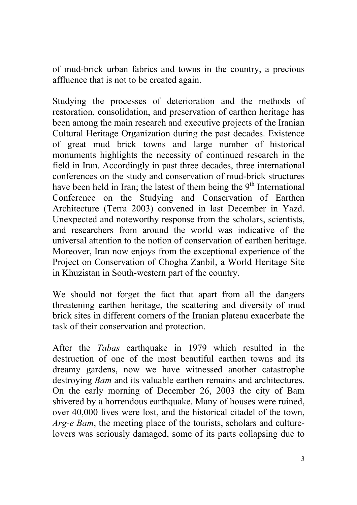of mud-brick urban fabrics and towns in the country, a precious affluence that is not to be created again.

Studying the processes of deterioration and the methods of restoration, consolidation, and preservation of earthen heritage has been among the main research and executive projects of the Iranian Cultural Heritage Organization during the past decades. Existence of great mud brick towns and large number of historical monuments highlights the necessity of continued research in the field in Iran. Accordingly in past three decades, three international conferences on the study and conservation of mud-brick structures have been held in Iran; the latest of them being the  $9<sup>th</sup>$  International Conference on the Studying and Conservation of Earthen Architecture (Terra 2003) convened in last December in Yazd. Unexpected and noteworthy response from the scholars, scientists, and researchers from around the world was indicative of the universal attention to the notion of conservation of earthen heritage. Moreover, Iran now enjoys from the exceptional experience of the Project on Conservation of Chogha Zanbil, a World Heritage Site in Khuzistan in South-western part of the country.

We should not forget the fact that apart from all the dangers threatening earthen heritage, the scattering and diversity of mud brick sites in different corners of the Iranian plateau exacerbate the task of their conservation and protection.

After the *Tabas* earthquake in 1979 which resulted in the destruction of one of the most beautiful earthen towns and its dreamy gardens, now we have witnessed another catastrophe destroying *Bam* and its valuable earthen remains and architectures. On the early morning of December 26, 2003 the city of Bam shivered by a horrendous earthquake. Many of houses were ruined, over 40,000 lives were lost, and the historical citadel of the town, *Arg-e Bam*, the meeting place of the tourists, scholars and culturelovers was seriously damaged, some of its parts collapsing due to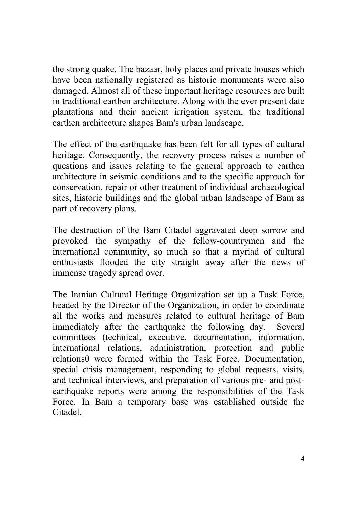the strong quake. The bazaar, holy places and private houses which have been nationally registered as historic monuments were also damaged. Almost all of these important heritage resources are built in traditional earthen architecture. Along with the ever present date plantations and their ancient irrigation system, the traditional earthen architecture shapes Bam's urban landscape.

The effect of the earthquake has been felt for all types of cultural heritage. Consequently, the recovery process raises a number of questions and issues relating to the general approach to earthen architecture in seismic conditions and to the specific approach for conservation, repair or other treatment of individual archaeological sites, historic buildings and the global urban landscape of Bam as part of recovery plans.

The destruction of the Bam Citadel aggravated deep sorrow and provoked the sympathy of the fellow-countrymen and the international community, so much so that a myriad of cultural enthusiasts flooded the city straight away after the news of immense tragedy spread over.

The Iranian Cultural Heritage Organization set up a Task Force, headed by the Director of the Organization, in order to coordinate all the works and measures related to cultural heritage of Bam immediately after the earthquake the following day. Several committees (technical, executive, documentation, information, international relations, administration, protection and public relations0 were formed within the Task Force. Documentation, special crisis management, responding to global requests, visits, and technical interviews, and preparation of various pre- and postearthquake reports were among the responsibilities of the Task Force. In Bam a temporary base was established outside the Citadel.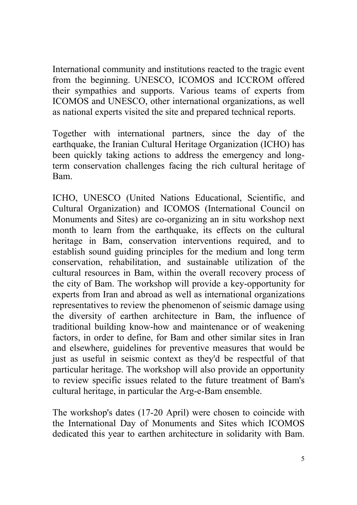International community and institutions reacted to the tragic event from the beginning. UNESCO, ICOMOS and ICCROM offered their sympathies and supports. Various teams of experts from ICOMOS and UNESCO, other international organizations, as well as national experts visited the site and prepared technical reports.

Together with international partners, since the day of the earthquake, the Iranian Cultural Heritage Organization (ICHO) has been quickly taking actions to address the emergency and longterm conservation challenges facing the rich cultural heritage of Bam.

ICHO, UNESCO (United Nations Educational, Scientific, and Cultural Organization) and ICOMOS (International Council on Monuments and Sites) are co-organizing an in situ workshop next month to learn from the earthquake, its effects on the cultural heritage in Bam, conservation interventions required, and to establish sound guiding principles for the medium and long term conservation, rehabilitation, and sustainable utilization of the cultural resources in Bam, within the overall recovery process of the city of Bam. The workshop will provide a key-opportunity for experts from Iran and abroad as well as international organizations representatives to review the phenomenon of seismic damage using the diversity of earthen architecture in Bam, the influence of traditional building know-how and maintenance or of weakening factors, in order to define, for Bam and other similar sites in Iran and elsewhere, guidelines for preventive measures that would be just as useful in seismic context as they'd be respectful of that particular heritage. The workshop will also provide an opportunity to review specific issues related to the future treatment of Bam's cultural heritage, in particular the Arg-e-Bam ensemble.

The workshop's dates (17-20 April) were chosen to coincide with the International Day of Monuments and Sites which ICOMOS dedicated this year to earthen architecture in solidarity with Bam.